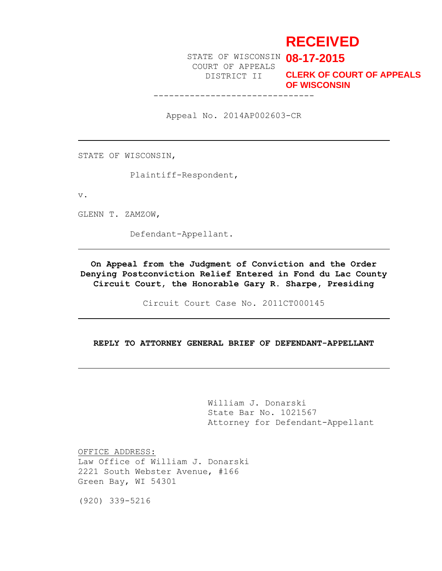# **RECEIVED**

STATE OF WISCONSIN **08-17-2015** COURT OF APPEALS

-------------------------------

DISTRICT II **CLERK OF COURT OF APPEALS OF WISCONSIN**

Appeal No. 2014AP002603-CR

STATE OF WISCONSIN,

Plaintiff-Respondent,

v.

GLENN T. ZAMZOW,

Defendant-Appellant.

**On Appeal from the Judgment of Conviction and the Order Denying Postconviction Relief Entered in Fond du Lac County Circuit Court, the Honorable Gary R. Sharpe, Presiding**

Circuit Court Case No. 2011CT000145

## **REPLY TO ATTORNEY GENERAL BRIEF OF DEFENDANT-APPELLANT**

William J. Donarski State Bar No. 1021567 Attorney for Defendant-Appellant

OFFICE ADDRESS: Law Office of William J. Donarski 2221 South Webster Avenue, #166 Green Bay, WI 54301

(920) 339-5216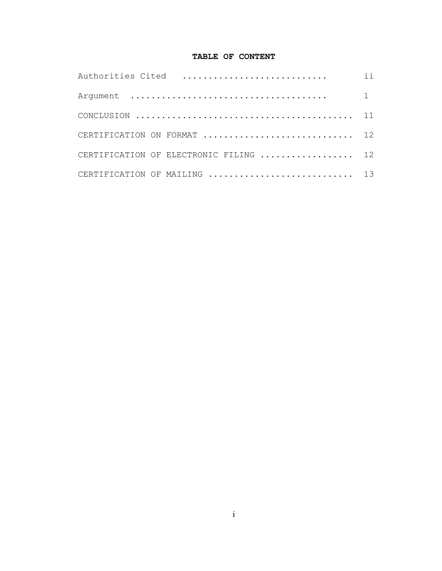# **TABLE OF CONTENT**

| Authorities Cited                                                                   | ii |
|-------------------------------------------------------------------------------------|----|
|                                                                                     |    |
| CONCLUSION $\dots\dots\dots\dots\dots\dots\dots\dots\dots\dots\dots\dots\dots\dots$ |    |
| CERTIFICATION ON FORMAT  12                                                         |    |
| CERTIFICATION OF ELECTRONIC FILING  12                                              |    |
| CERTIFICATION OF MAILING  13                                                        |    |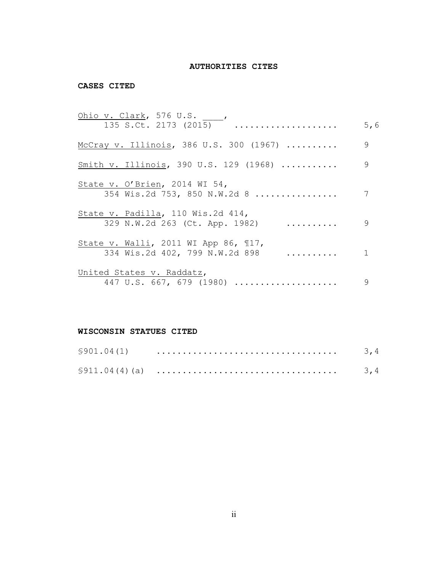# **AUTHORITIES CITES**

## **CASES CITED**

| Ohio v. Clark, 576 U.S.,<br>135 S.Ct. 2173 (2015)                           | 5,6 |
|-----------------------------------------------------------------------------|-----|
| McCray v. Illinois, 386 U.S. 300 (1967)                                     | 9   |
| Smith v. Illinois, 390 U.S. 129 (1968)                                      | 9   |
| State v. O'Brien, 2014 WI 54,<br>354 Wis.2d 753, 850 N.W.2d 8               | 7   |
| State v. Padilla, 110 Wis.2d 414,<br>329 N.W.2d 263 (Ct. App. 1982)         | 9   |
| State v. Walli, 2011 WI App 86, 117,<br>334 Wis.2d 402, 799 N.W.2d 898<br>. |     |
| United States v. Raddatz,<br>447 U.S. 667, 679 (1980)                       | 9   |

# **WISCONSIN STATUES CITED**

| \$901.04(1)             |  |
|-------------------------|--|
| $\text{\$911.04(4)(a)}$ |  |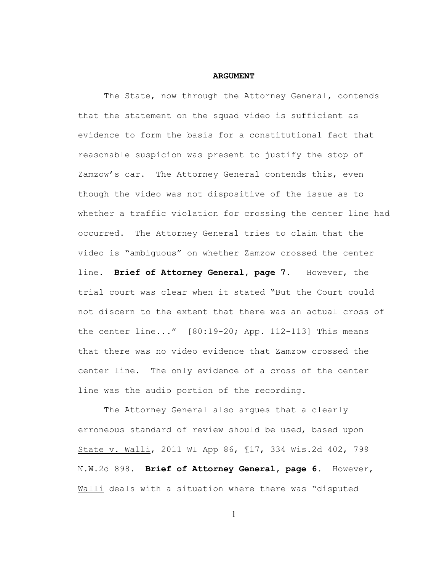#### **ARGUMENT**

The State, now through the Attorney General, contends that the statement on the squad video is sufficient as evidence to form the basis for a constitutional fact that reasonable suspicion was present to justify the stop of Zamzow's car. The Attorney General contends this, even though the video was not dispositive of the issue as to whether a traffic violation for crossing the center line had occurred. The Attorney General tries to claim that the video is "ambiguous" on whether Zamzow crossed the center line. **Brief of Attorney General, page 7.** However, the trial court was clear when it stated "But the Court could not discern to the extent that there was an actual cross of the center line..." [80:19-20; App. 112-113] This means that there was no video evidence that Zamzow crossed the center line. The only evidence of a cross of the center line was the audio portion of the recording.

The Attorney General also argues that a clearly erroneous standard of review should be used, based upon State v. Walli, 2011 WI App 86, ¶17, 334 Wis.2d 402, 799 N.W.2d 898. **Brief of Attorney General, page 6.** However, Walli deals with a situation where there was "disputed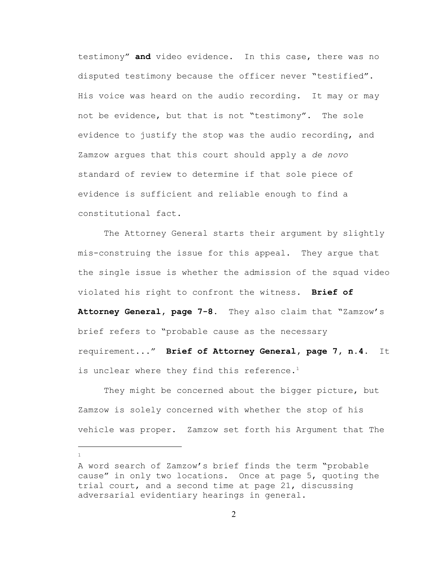testimony" **and** video evidence. In this case, there was no disputed testimony because the officer never "testified". His voice was heard on the audio recording. It may or may not be evidence, but that is not "testimony". The sole evidence to justify the stop was the audio recording, and Zamzow argues that this court should apply a *de novo* standard of review to determine if that sole piece of evidence is sufficient and reliable enough to find a constitutional fact.

The Attorney General starts their argument by slightly mis-construing the issue for this appeal. They argue that the single issue is whether the admission of the squad video violated his right to confront the witness. **Brief of Attorney General, page 7-8**. They also claim that "Zamzow's brief refers to "probable cause as the necessary requirement..." **Brief of Attorney General, page 7, n.4**. It is unclear where they find this reference.<sup>1</sup>

They might be concerned about the bigger picture, but Zamzow is solely concerned with whether the stop of his vehicle was proper. Zamzow set forth his Argument that The

A word search of Zamzow's brief finds the term "probable cause" in only two locations. Once at page 5, quoting the trial court, and a second time at page 21, discussing adversarial evidentiary hearings in general.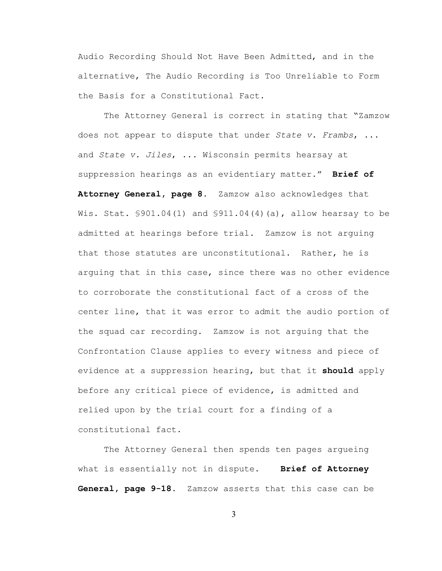Audio Recording Should Not Have Been Admitted, and in the alternative, The Audio Recording is Too Unreliable to Form the Basis for a Constitutional Fact.

The Attorney General is correct in stating that "Zamzow does not appear to dispute that under *State v. Frambs*, ... and *State v. Jiles*, ... Wisconsin permits hearsay at suppression hearings as an evidentiary matter." **Brief of Attorney General, page 8**. Zamzow also acknowledges that Wis. Stat. §901.04(1) and §911.04(4)(a), allow hearsay to be admitted at hearings before trial. Zamzow is not arguing that those statutes are unconstitutional. Rather, he is arguing that in this case, since there was no other evidence to corroborate the constitutional fact of a cross of the center line, that it was error to admit the audio portion of the squad car recording. Zamzow is not arguing that the Confrontation Clause applies to every witness and piece of evidence at a suppression hearing, but that it **should** apply before any critical piece of evidence, is admitted and relied upon by the trial court for a finding of a constitutional fact.

The Attorney General then spends ten pages argueing what is essentially not in dispute. **Brief of Attorney General, page 9-18**. Zamzow asserts that this case can be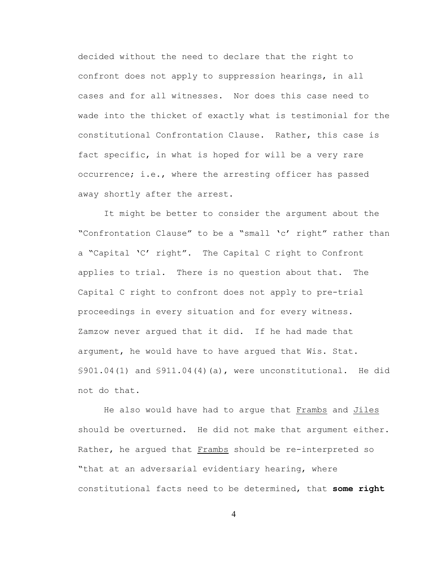decided without the need to declare that the right to confront does not apply to suppression hearings, in all cases and for all witnesses. Nor does this case need to wade into the thicket of exactly what is testimonial for the constitutional Confrontation Clause. Rather, this case is fact specific, in what is hoped for will be a very rare occurrence; i.e., where the arresting officer has passed away shortly after the arrest.

It might be better to consider the argument about the "Confrontation Clause" to be a "small 'c' right" rather than a "Capital 'C' right". The Capital C right to Confront applies to trial. There is no question about that. The Capital C right to confront does not apply to pre-trial proceedings in every situation and for every witness. Zamzow never argued that it did. If he had made that argument, he would have to have argued that Wis. Stat.  $$901.04(1)$  and  $$911.04(4)(a)$ , were unconstitutional. He did not do that.

He also would have had to argue that Frambs and Jiles should be overturned. He did not make that argument either. Rather, he argued that Frambs should be re-interpreted so "that at an adversarial evidentiary hearing, where constitutional facts need to be determined, that **some right**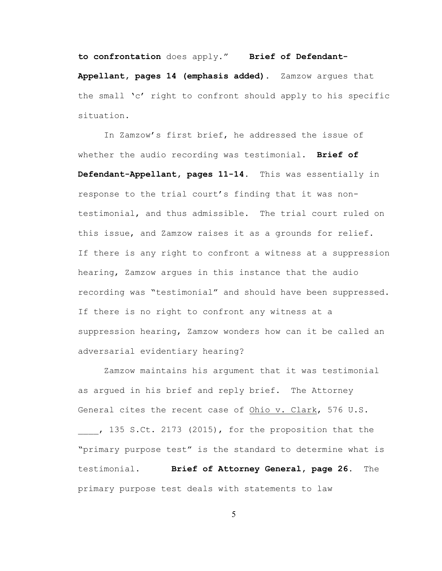**to confrontation** does apply." **Brief of Defendant-Appellant, pages 14 (emphasis added)**. Zamzow argues that the small  $\mathcal{C}'$  right to confront should apply to his specific situation.

In Zamzow's first brief, he addressed the issue of whether the audio recording was testimonial. **Brief of Defendant-Appellant, pages 11-14.** This was essentially in response to the trial court's finding that it was nontestimonial, and thus admissible. The trial court ruled on this issue, and Zamzow raises it as a grounds for relief. If there is any right to confront a witness at a suppression hearing, Zamzow argues in this instance that the audio recording was "testimonial" and should have been suppressed. If there is no right to confront any witness at a suppression hearing, Zamzow wonders how can it be called an adversarial evidentiary hearing?

Zamzow maintains his argument that it was testimonial as argued in his brief and reply brief. The Attorney General cites the recent case of Ohio v. Clark, 576 U.S. \_\_\_\_, 135 S.Ct. 2173 (2015), for the proposition that the "primary purpose test" is the standard to determine what is testimonial. **Brief of Attorney General, page 26**. The primary purpose test deals with statements to law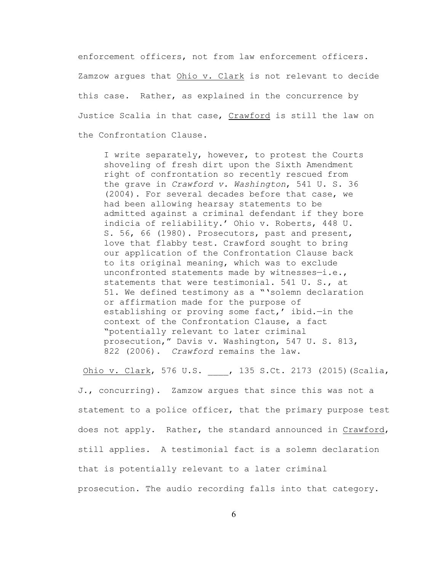enforcement officers, not from law enforcement officers. Zamzow argues that Ohio v. Clark is not relevant to decide this case. Rather, as explained in the concurrence by Justice Scalia in that case, Crawford is still the law on the Confrontation Clause.

I write separately, however, to protest the Courts shoveling of fresh dirt upon the Sixth Amendment right of confrontation so recently rescued from the grave in *Crawford v. Washington*, 541 U. S. 36 (2004). For several decades before that case, we had been allowing hearsay statements to be admitted against a criminal defendant if they bore indicia of reliability.' Ohio v. Roberts, 448 U. S. 56, 66 (1980). Prosecutors, past and present, love that flabby test. Crawford sought to bring our application of the Confrontation Clause back to its original meaning, which was to exclude unconfronted statements made by witnesses—i.e., statements that were testimonial. 541 U. S., at 51. We defined testimony as a "'solemn declaration or affirmation made for the purpose of establishing or proving some fact,' ibid.—in the context of the Confrontation Clause, a fact "potentially relevant to later criminal prosecution," Davis v. Washington, 547 U. S. 813, 822 (2006). *Crawford* remains the law.

Ohio v. Clark, 576 U.S. , 135 S.Ct. 2173 (2015) (Scalia, J., concurring). Zamzow argues that since this was not a statement to a police officer, that the primary purpose test does not apply. Rather, the standard announced in Crawford, still applies. A testimonial fact is a solemn declaration that is potentially relevant to a later criminal prosecution. The audio recording falls into that category.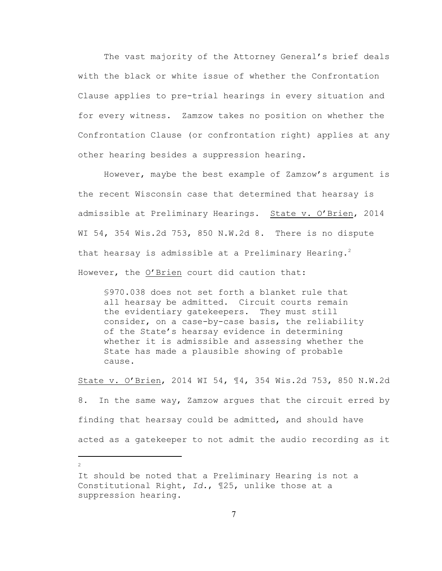The vast majority of the Attorney General's brief deals with the black or white issue of whether the Confrontation Clause applies to pre-trial hearings in every situation and for every witness. Zamzow takes no position on whether the Confrontation Clause (or confrontation right) applies at any other hearing besides a suppression hearing.

However, maybe the best example of Zamzow's argument is the recent Wisconsin case that determined that hearsay is admissible at Preliminary Hearings. State v. O'Brien, 2014 WI 54, 354 Wis.2d 753, 850 N.W.2d 8. There is no dispute that hearsay is admissible at a Preliminary Hearing.<sup>2</sup> However, the O'Brien court did caution that:

§970.038 does not set forth a blanket rule that all hearsay be admitted. Circuit courts remain the evidentiary gatekeepers. They must still consider, on a case-by-case basis, the reliability of the State's hearsay evidence in determining whether it is admissible and assessing whether the State has made a plausible showing of probable cause.

State v. O'Brien, 2014 WI 54, ¶4, 354 Wis.2d 753, 850 N.W.2d 8. In the same way, Zamzow argues that the circuit erred by finding that hearsay could be admitted, and should have acted as a gatekeeper to not admit the audio recording as it

It should be noted that a Preliminary Hearing is not a Constitutional Right, *Id.*, ¶25, unlike those at a suppression hearing.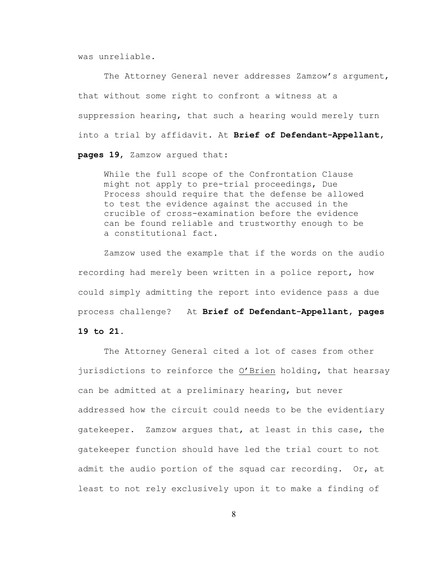was unreliable.

The Attorney General never addresses Zamzow's argument, that without some right to confront a witness at a suppression hearing, that such a hearing would merely turn into a trial by affidavit. At **Brief of Defendant-Appellant, pages 19**, Zamzow argued that:

While the full scope of the Confrontation Clause might not apply to pre-trial proceedings, Due Process should require that the defense be allowed to test the evidence against the accused in the crucible of cross-examination before the evidence can be found reliable and trustworthy enough to be a constitutional fact.

Zamzow used the example that if the words on the audio recording had merely been written in a police report, how could simply admitting the report into evidence pass a due process challenge? At **Brief of Defendant-Appellant, pages**

### **19 to 21**.

The Attorney General cited a lot of cases from other jurisdictions to reinforce the O'Brien holding, that hearsay can be admitted at a preliminary hearing, but never addressed how the circuit could needs to be the evidentiary gatekeeper. Zamzow argues that, at least in this case, the gatekeeper function should have led the trial court to not admit the audio portion of the squad car recording. Or, at least to not rely exclusively upon it to make a finding of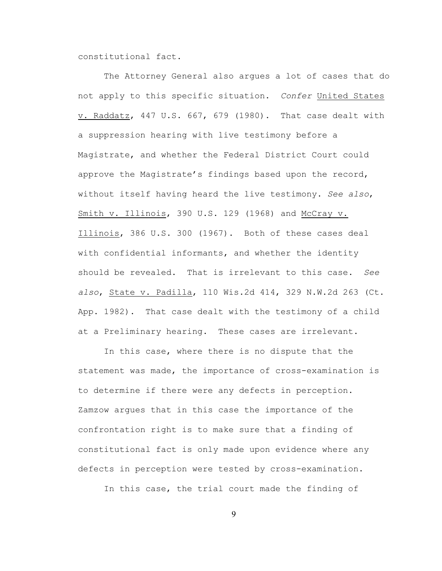constitutional fact.

The Attorney General also argues a lot of cases that do not apply to this specific situation. *Confer* United States v. Raddatz, 447 U.S. 667, 679 (1980). That case dealt with a suppression hearing with live testimony before a Magistrate, and whether the Federal District Court could approve the Magistrate's findings based upon the record, without itself having heard the live testimony. *See also*, Smith v. Illinois, 390 U.S. 129 (1968) and McCray v. Illinois, 386 U.S. 300 (1967). Both of these cases deal with confidential informants, and whether the identity should be revealed. That is irrelevant to this case. *See also*, State v. Padilla, 110 Wis.2d 414, 329 N.W.2d 263 (Ct. App. 1982). That case dealt with the testimony of a child at a Preliminary hearing. These cases are irrelevant.

In this case, where there is no dispute that the statement was made, the importance of cross-examination is to determine if there were any defects in perception. Zamzow argues that in this case the importance of the confrontation right is to make sure that a finding of constitutional fact is only made upon evidence where any defects in perception were tested by cross-examination.

In this case, the trial court made the finding of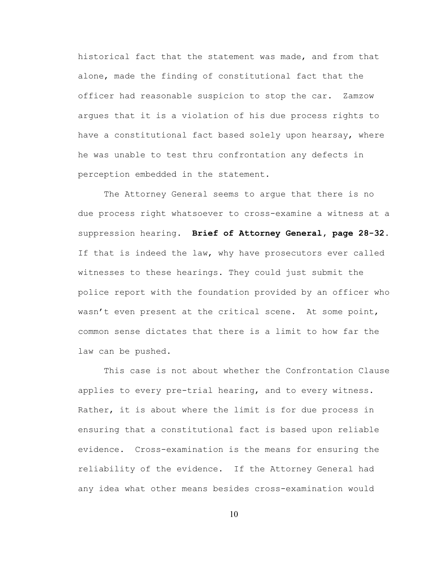historical fact that the statement was made, and from that alone, made the finding of constitutional fact that the officer had reasonable suspicion to stop the car. Zamzow argues that it is a violation of his due process rights to have a constitutional fact based solely upon hearsay, where he was unable to test thru confrontation any defects in perception embedded in the statement.

The Attorney General seems to argue that there is no due process right whatsoever to cross-examine a witness at a suppression hearing. **Brief of Attorney General, page 28-32**. If that is indeed the law, why have prosecutors ever called witnesses to these hearings. They could just submit the police report with the foundation provided by an officer who wasn't even present at the critical scene. At some point, common sense dictates that there is a limit to how far the law can be pushed.

This case is not about whether the Confrontation Clause applies to every pre-trial hearing, and to every witness. Rather, it is about where the limit is for due process in ensuring that a constitutional fact is based upon reliable evidence. Cross-examination is the means for ensuring the reliability of the evidence. If the Attorney General had any idea what other means besides cross-examination would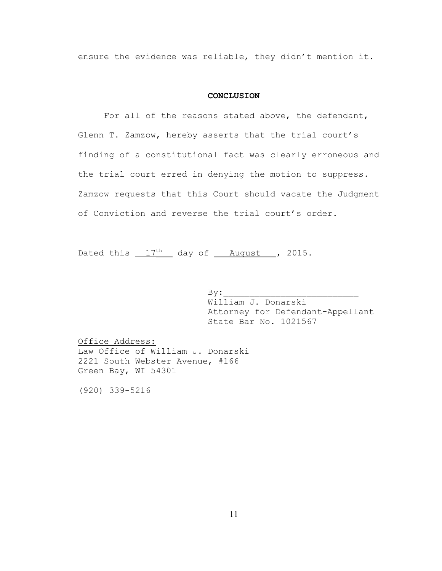ensure the evidence was reliable, they didn't mention it.

## **CONCLUSION**

For all of the reasons stated above, the defendant, Glenn T. Zamzow, hereby asserts that the trial court's finding of a constitutional fact was clearly erroneous and the trial court erred in denying the motion to suppress. Zamzow requests that this Court should vacate the Judgment of Conviction and reverse the trial court's order.

Dated this  $17<sup>th</sup>$  day of  $\frac{\text{August}}{\text{August}}$ , 2015.

 $By:$ William J. Donarski Attorney for Defendant-Appellant State Bar No. 1021567

Office Address: Law Office of William J. Donarski 2221 South Webster Avenue, #166 Green Bay, WI 54301

(920) 339-5216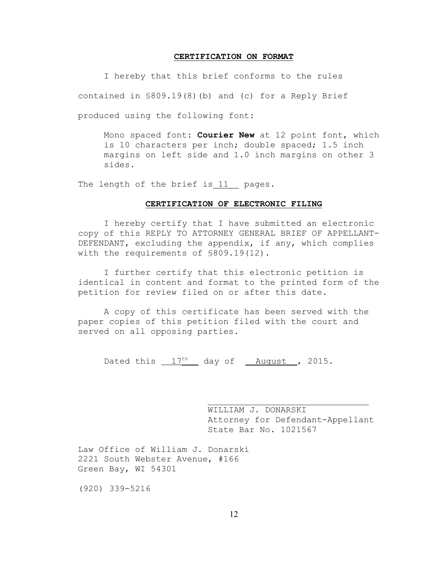#### **CERTIFICATION ON FORMAT**

I hereby that this brief conforms to the rules contained in §809.19(8)(b) and (c) for a Reply Brief produced using the following font:

Mono spaced font: **Courier New** at 12 point font, which is 10 characters per inch; double spaced; 1.5 inch margins on left side and 1.0 inch margins on other 3 sides.

The length of the brief is 11 pages.

#### **CERTIFICATION OF ELECTRONIC FILING**

I hereby certify that I have submitted an electronic copy of this REPLY TO ATTORNEY GENERAL BRIEF OF APPELLANT-DEFENDANT, excluding the appendix, if any, which complies with the requirements of \$809.19(12).

I further certify that this electronic petition is identical in content and format to the printed form of the petition for review filed on or after this date.

A copy of this certificate has been served with the paper copies of this petition filed with the court and served on all opposing parties.

Dated this  $17<sup>th</sup>$  day of  $\frac{\text{August}}{\text{August}}$ , 2015.

WILLIAM J. DONARSKI Attorney for Defendant-Appellant State Bar No. 1021567

 $\mathcal{L}_\text{max}$ 

Law Office of William J. Donarski 2221 South Webster Avenue, #166 Green Bay, WI 54301

(920) 339-5216